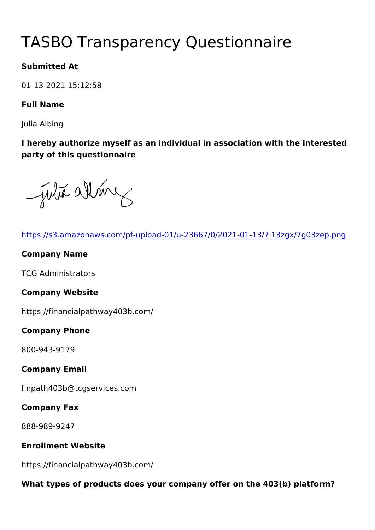# TASBO Transparency Questionna

Submitted At

01-13-2021 15:12:58

Full Name

Julia Albing

I hereby authorize myself as an individual in association with the party of this questionnaire

| https://s3.amazonaws.com/pf-upload-01/u-23667/0/2021-01-13/7i1   |
|------------------------------------------------------------------|
| Company Name                                                     |
| <b>TCG Administrators</b>                                        |
| Company Website                                                  |
| https://financialpathway403b.com/                                |
| Company Phone                                                    |
| 800-943-9179                                                     |
| Company Email                                                    |
| finpath403b@tcgservices.com                                      |
| Company Fax                                                      |
| 888-989-9247                                                     |
| Enrollment Website                                               |
| https://financialpathway403b.com/                                |
| What types of products does your company offer on the 403(b) pla |
|                                                                  |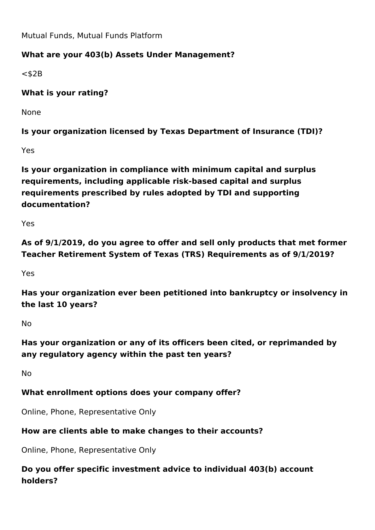Mutual Funds, Mutual Funds Platform

# **What are your 403(b) Assets Under Management?**

 $<$ \$2B

**What is your rating?** 

None

**Is your organization licensed by Texas Department of Insurance (TDI)?**

Yes

**Is your organization in compliance with minimum capital and surplus requirements, including applicable risk-based capital and surplus requirements prescribed by rules adopted by TDI and supporting documentation?**

Yes

**As of 9/1/2019, do you agree to offer and sell only products that met former Teacher Retirement System of Texas (TRS) Requirements as of 9/1/2019?**

Yes

**Has your organization ever been petitioned into bankruptcy or insolvency in the last 10 years?**

No

**Has your organization or any of its officers been cited, or reprimanded by any regulatory agency within the past ten years?**

No

# **What enrollment options does your company offer?**

Online, Phone, Representative Only

# **How are clients able to make changes to their accounts?**

Online, Phone, Representative Only

**Do you offer specific investment advice to individual 403(b) account holders?**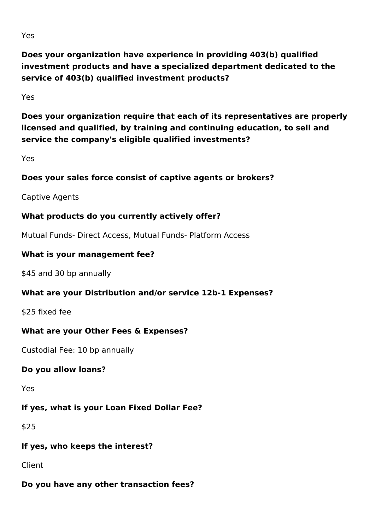**Does your organization have experience in providing 403(b) qualified investment products and have a specialized department dedicated to the service of 403(b) qualified investment products?**

Yes

**Does your organization require that each of its representatives are properly licensed and qualified, by training and continuing education, to sell and service the company's eligible qualified investments?** 

Yes

#### **Does your sales force consist of captive agents or brokers?**

Captive Agents

## **What products do you currently actively offer?**

Mutual Funds- Direct Access, Mutual Funds- Platform Access

#### **What is your management fee?**

\$45 and 30 bp annually

#### **What are your Distribution and/or service 12b-1 Expenses?**

\$25 fixed fee

#### **What are your Other Fees & Expenses?**

Custodial Fee: 10 bp annually

#### **Do you allow loans?**

Yes

# **If yes, what is your Loan Fixed Dollar Fee?**

\$25

#### **If yes, who keeps the interest?**

Client

# **Do you have any other transaction fees?**